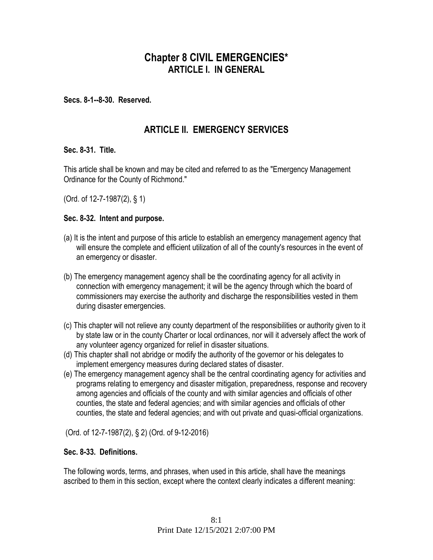# **Chapter 8 CIVIL EMERGENCIES\* ARTICLE I. IN GENERAL**

**Secs. 8-1--8-30. Reserved.** 

# **ARTICLE II. EMERGENCY SERVICES**

#### **Sec. 8-31. Title.**

This article shall be known and may be cited and referred to as the "Emergency Management Ordinance for the County of Richmond."

(Ord. of 12-7-1987(2), § 1)

#### **Sec. 8-32. Intent and purpose.**

- (a) It is the intent and purpose of this article to establish an emergency management agency that will ensure the complete and efficient utilization of all of the county's resources in the event of an emergency or disaster.
- (b) The emergency management agency shall be the coordinating agency for all activity in connection with emergency management; it will be the agency through which the board of commissioners may exercise the authority and discharge the responsibilities vested in them during disaster emergencies.
- (c) This chapter will not relieve any county department of the responsibilities or authority given to it by state law or in the county Charter or local ordinances, nor will it adversely affect the work of any volunteer agency organized for relief in disaster situations.
- (d) This chapter shall not abridge or modify the authority of the governor or his delegates to implement emergency measures during declared states of disaster.
- (e) The emergency management agency shall be the central coordinating agency for activities and programs relating to emergency and disaster mitigation, preparedness, response and recovery among agencies and officials of the county and with similar agencies and officials of other counties, the state and federal agencies; and with similar agencies and officials of other counties, the state and federal agencies; and with out private and quasi-official organizations.

(Ord. of 12-7-1987(2), § 2) (Ord. of 9-12-2016)

#### **Sec. 8-33. Definitions.**

The following words, terms, and phrases, when used in this article, shall have the meanings ascribed to them in this section, except where the context clearly indicates a different meaning: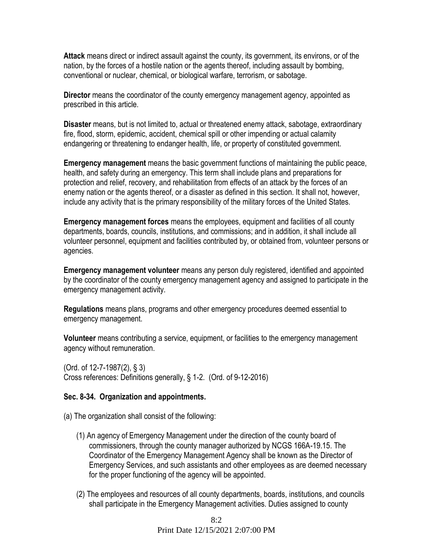**Attack** means direct or indirect assault against the county, its government, its environs, or of the nation, by the forces of a hostile nation or the agents thereof, including assault by bombing, conventional or nuclear, chemical, or biological warfare, terrorism, or sabotage.

**Director** means the coordinator of the county emergency management agency, appointed as prescribed in this article.

**Disaster** means, but is not limited to, actual or threatened enemy attack, sabotage, extraordinary fire, flood, storm, epidemic, accident, chemical spill or other impending or actual calamity endangering or threatening to endanger health, life, or property of constituted government.

**Emergency management** means the basic government functions of maintaining the public peace, health, and safety during an emergency. This term shall include plans and preparations for protection and relief, recovery, and rehabilitation from effects of an attack by the forces of an enemy nation or the agents thereof, or a disaster as defined in this section. It shall not, however, include any activity that is the primary responsibility of the military forces of the United States.

**Emergency management forces** means the employees, equipment and facilities of all county departments, boards, councils, institutions, and commissions; and in addition, it shall include all volunteer personnel, equipment and facilities contributed by, or obtained from, volunteer persons or agencies.

**Emergency management volunteer** means any person duly registered, identified and appointed by the coordinator of the county emergency management agency and assigned to participate in the emergency management activity.

**Regulations** means plans, programs and other emergency procedures deemed essential to emergency management.

**Volunteer** means contributing a service, equipment, or facilities to the emergency management agency without remuneration.

(Ord. of 12-7-1987(2), § 3) Cross references: Definitions generally, § 1-2. (Ord. of 9-12-2016)

#### **Sec. 8-34. Organization and appointments.**

(a) The organization shall consist of the following:

- (1) An agency of Emergency Management under the direction of the county board of commissioners, through the county manager authorized by NCGS 166A-19.15. The Coordinator of the Emergency Management Agency shall be known as the Director of Emergency Services, and such assistants and other employees as are deemed necessary for the proper functioning of the agency will be appointed.
- (2) The employees and resources of all county departments, boards, institutions, and councils shall participate in the Emergency Management activities. Duties assigned to county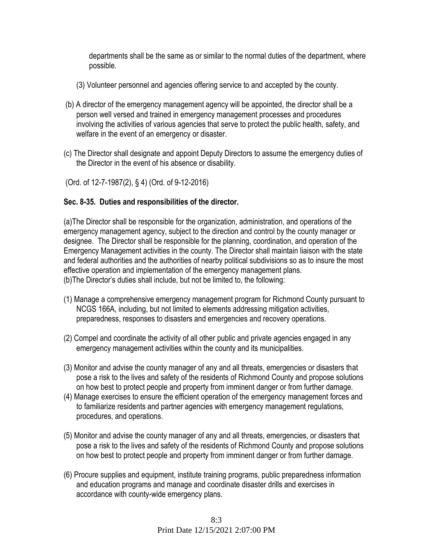departments shall be the same as or similar to the normal duties of the department, where possible.

- (3) Volunteer personnel and agencies offering service to and accepted by the county.
- (b) A director of the emergency management agency will be appointed, the director shall be a person well versed and trained in emergency management processes and procedures involving the activities of various agencies that serve to protect the public health, safety, and welfare in the event of an emergency or disaster.
- (c) The Director shall designate and appoint Deputy Directors to assume the emergency duties of the Director in the event of his absence or disability.

(Ord. of 12-7-1987(2), § 4) (Ord. of 9-12-2016)

### **Sec. 8-35. Duties and responsibilities of the director.**

(a)The Director shall be responsible for the organization, administration, and operations of the emergency management agency, subject to the direction and control by the county manager or designee. The Director shall be responsible for the planning, coordination, and operation of the Emergency Management activities in the county. The Director shall maintain liaison with the state and federal authorities and the authorities of nearby political subdivisions so as to insure the most effective operation and implementation of the emergency management plans. (b)The Director's duties shall include, but not be limited to, the following:

- (1) Manage a comprehensive emergency management program for Richmond County pursuant to NCGS 166A, including, but not limited to elements addressing mitigation activities, preparedness, responses to disasters and emergencies and recovery operations.
- (2) Compel and coordinate the activity of all other public and private agencies engaged in any emergency management activities within the county and its municipalities.
- (3) Monitor and advise the county manager of any and all threats, emergencies or disasters that pose a risk to the lives and safety of the residents of Richmond County and propose solutions on how best to protect people and property from imminent danger or from further damage.
- (4) Manage exercises to ensure the efficient operation of the emergency management forces and to familiarize residents and partner agencies with emergency management regulations, procedures, and operations.
- (5) Monitor and advise the county manager of any and all threats, emergencies, or disasters that pose a risk to the lives and safety of the residents of Richmond County and propose solutions on how best to protect people and property from imminent danger or from further damage.
- (6) Procure supplies and equipment, institute training programs, public preparedness information and education programs and manage and coordinate disaster drills and exercises in accordance with county-wide emergency plans.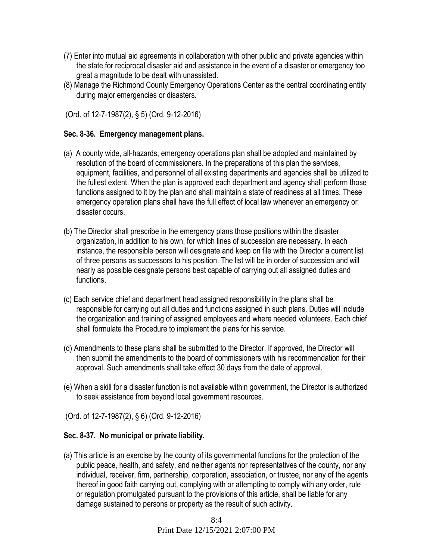- (7) Enter into mutual aid agreements in collaboration with other public and private agencies within the state for reciprocal disaster aid and assistance in the event of a disaster or emergency too great a magnitude to be dealt with unassisted.
- (8) Manage the Richmond County Emergency Operations Center as the central coordinating entity during major emergencies or disasters.

(Ord. of 12-7-1987(2), § 5) (Ord. 9-12-2016)

### **Sec. 8-36. Emergency management plans.**

- (a) A county wide, all-hazards, emergency operations plan shall be adopted and maintained by resolution of the board of commissioners. In the preparations of this plan the services, equipment, facilities, and personnel of all existing departments and agencies shall be utilized to the fullest extent. When the plan is approved each department and agency shall perform those functions assigned to it by the plan and shall maintain a state of readiness at all times. These emergency operation plans shall have the full effect of local law whenever an emergency or disaster occurs.
- (b) The Director shall prescribe in the emergency plans those positions within the disaster organization, in addition to his own, for which lines of succession are necessary. In each instance, the responsible person will designate and keep on file with the Director a current list of three persons as successors to his position. The list will be in order of succession and will nearly as possible designate persons best capable of carrying out all assigned duties and functions.
- (c) Each service chief and department head assigned responsibility in the plans shall be responsible for carrying out all duties and functions assigned in such plans. Duties will include the organization and training of assigned employees and where needed volunteers. Each chief shall formulate the Procedure to implement the plans for his service.
- (d) Amendments to these plans shall be submitted to the Director. If approved, the Director will then submit the amendments to the board of commissioners with his recommendation for their approval. Such amendments shall take effect 30 days from the date of approval.
- (e) When a skill for a disaster function is not available within government, the Director is authorized to seek assistance from beyond local government resources.

(Ord. of 12-7-1987(2), § 6) (Ord. 9-12-2016)

### **Sec. 8-37. No municipal or private liability.**

(a) This article is an exercise by the county of its governmental functions for the protection of the public peace, health, and safety, and neither agents nor representatives of the county, nor any individual, receiver, firm, partnership, corporation, association, or trustee, nor any of the agents thereof in good faith carrying out, complying with or attempting to comply with any order, rule or regulation promulgated pursuant to the provisions of this article, shall be liable for any damage sustained to persons or property as the result of such activity.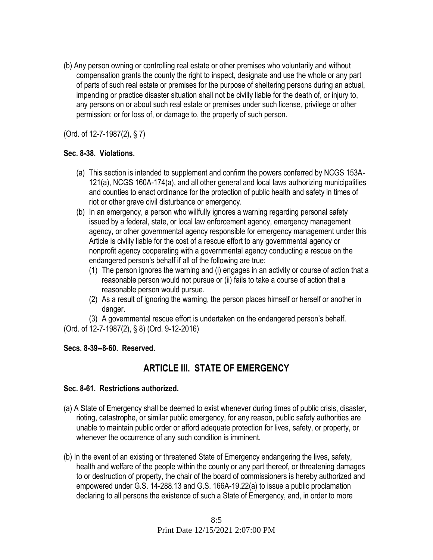(b) Any person owning or controlling real estate or other premises who voluntarily and without compensation grants the county the right to inspect, designate and use the whole or any part of parts of such real estate or premises for the purpose of sheltering persons during an actual, impending or practice disaster situation shall not be civilly liable for the death of, or injury to, any persons on or about such real estate or premises under such license, privilege or other permission; or for loss of, or damage to, the property of such person.

(Ord. of 12-7-1987(2), § 7)

### **Sec. 8-38. Violations.**

- (a) This section is intended to supplement and confirm the powers conferred by NCGS 153A-121(a), NCGS 160A-174(a), and all other general and local laws authorizing municipalities and counties to enact ordinance for the protection of public health and safety in times of riot or other grave civil disturbance or emergency.
- (b) In an emergency, a person who willfully ignores a warning regarding personal safety issued by a federal, state, or local law enforcement agency, emergency management agency, or other governmental agency responsible for emergency management under this Article is civilly liable for the cost of a rescue effort to any governmental agency or nonprofit agency cooperating with a governmental agency conducting a rescue on the endangered person's behalf if all of the following are true:
	- (1) The person ignores the warning and (i) engages in an activity or course of action that a reasonable person would not pursue or (ii) fails to take a course of action that a reasonable person would pursue.
	- (2) As a result of ignoring the warning, the person places himself or herself or another in danger.

(3) A governmental rescue effort is undertaken on the endangered person's behalf.

(Ord. of 12-7-1987(2), § 8) (Ord. 9-12-2016)

## **Secs. 8-39--8-60. Reserved.**

# **ARTICLE III. STATE OF EMERGENCY**

### **Sec. 8-61. Restrictions authorized.**

- (a) A State of Emergency shall be deemed to exist whenever during times of public crisis, disaster, rioting, catastrophe, or similar public emergency, for any reason, public safety authorities are unable to maintain public order or afford adequate protection for lives, safety, or property, or whenever the occurrence of any such condition is imminent.
- (b) In the event of an existing or threatened State of Emergency endangering the lives, safety, health and welfare of the people within the county or any part thereof, or threatening damages to or destruction of property, the chair of the board of commissioners is hereby authorized and empowered under G.S. 14-288.13 and G.S. 166A-19.22(a) to issue a public proclamation declaring to all persons the existence of such a State of Emergency, and, in order to more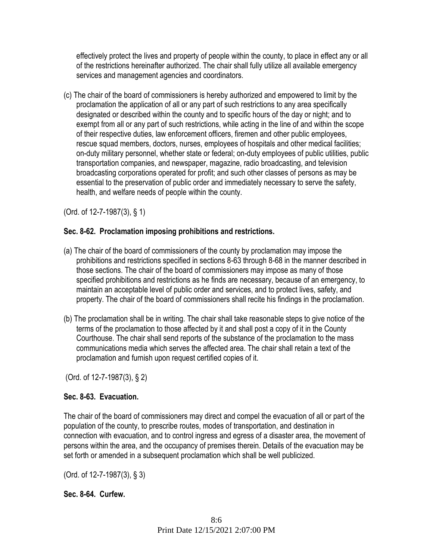effectively protect the lives and property of people within the county, to place in effect any or all of the restrictions hereinafter authorized. The chair shall fully utilize all available emergency services and management agencies and coordinators.

(c) The chair of the board of commissioners is hereby authorized and empowered to limit by the proclamation the application of all or any part of such restrictions to any area specifically designated or described within the county and to specific hours of the day or night; and to exempt from all or any part of such restrictions, while acting in the line of and within the scope of their respective duties, law enforcement officers, firemen and other public employees, rescue squad members, doctors, nurses, employees of hospitals and other medical facilities; on-duty military personnel, whether state or federal; on-duty employees of public utilities, public transportation companies, and newspaper, magazine, radio broadcasting, and television broadcasting corporations operated for profit; and such other classes of persons as may be essential to the preservation of public order and immediately necessary to serve the safety, health, and welfare needs of people within the county.

(Ord. of 12-7-1987(3), § 1)

## **Sec. 8-62. Proclamation imposing prohibitions and restrictions.**

- (a) The chair of the board of commissioners of the county by proclamation may impose the prohibitions and restrictions specified in sections 8-63 through 8-68 in the manner described in those sections. The chair of the board of commissioners may impose as many of those specified prohibitions and restrictions as he finds are necessary, because of an emergency, to maintain an acceptable level of public order and services, and to protect lives, safety, and property. The chair of the board of commissioners shall recite his findings in the proclamation.
- (b) The proclamation shall be in writing. The chair shall take reasonable steps to give notice of the terms of the proclamation to those affected by it and shall post a copy of it in the County Courthouse. The chair shall send reports of the substance of the proclamation to the mass communications media which serves the affected area. The chair shall retain a text of the proclamation and furnish upon request certified copies of it.

(Ord. of 12-7-1987(3), § 2)

## **Sec. 8-63. Evacuation.**

The chair of the board of commissioners may direct and compel the evacuation of all or part of the population of the county, to prescribe routes, modes of transportation, and destination in connection with evacuation, and to control ingress and egress of a disaster area, the movement of persons within the area, and the occupancy of premises therein. Details of the evacuation may be set forth or amended in a subsequent proclamation which shall be well publicized.

(Ord. of 12-7-1987(3), § 3)

## **Sec. 8-64. Curfew.**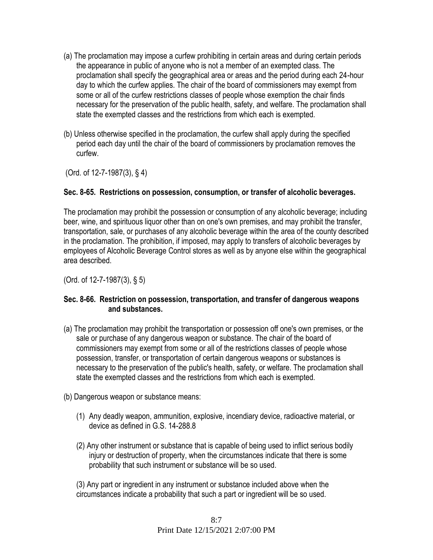- (a) The proclamation may impose a curfew prohibiting in certain areas and during certain periods the appearance in public of anyone who is not a member of an exempted class. The proclamation shall specify the geographical area or areas and the period during each 24-hour day to which the curfew applies. The chair of the board of commissioners may exempt from some or all of the curfew restrictions classes of people whose exemption the chair finds necessary for the preservation of the public health, safety, and welfare. The proclamation shall state the exempted classes and the restrictions from which each is exempted.
- (b) Unless otherwise specified in the proclamation, the curfew shall apply during the specified period each day until the chair of the board of commissioners by proclamation removes the curfew.

(Ord. of 12-7-1987(3), § 4)

### **Sec. 8-65. Restrictions on possession, consumption, or transfer of alcoholic beverages.**

The proclamation may prohibit the possession or consumption of any alcoholic beverage; including beer, wine, and spirituous liquor other than on one's own premises, and may prohibit the transfer, transportation, sale, or purchases of any alcoholic beverage within the area of the county described in the proclamation. The prohibition, if imposed, may apply to transfers of alcoholic beverages by employees of Alcoholic Beverage Control stores as well as by anyone else within the geographical area described.

(Ord. of 12-7-1987(3), § 5)

#### **Sec. 8-66. Restriction on possession, transportation, and transfer of dangerous weapons and substances.**

- (a) The proclamation may prohibit the transportation or possession off one's own premises, or the sale or purchase of any dangerous weapon or substance. The chair of the board of commissioners may exempt from some or all of the restrictions classes of people whose possession, transfer, or transportation of certain dangerous weapons or substances is necessary to the preservation of the public's health, safety, or welfare. The proclamation shall state the exempted classes and the restrictions from which each is exempted.
- (b) Dangerous weapon or substance means:
	- (1) Any deadly weapon, ammunition, explosive, incendiary device, radioactive material, or device as defined in G.S. 14-288.8
	- (2) Any other instrument or substance that is capable of being used to inflict serious bodily injury or destruction of property, when the circumstances indicate that there is some probability that such instrument or substance will be so used.

(3) Any part or ingredient in any instrument or substance included above when the circumstances indicate a probability that such a part or ingredient will be so used.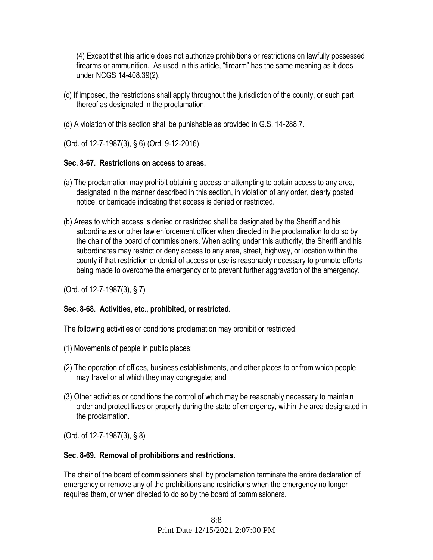(4) Except that this article does not authorize prohibitions or restrictions on lawfully possessed firearms or ammunition. As used in this article, "firearm" has the same meaning as it does under NCGS 14-408.39(2).

- (c) If imposed, the restrictions shall apply throughout the jurisdiction of the county, or such part thereof as designated in the proclamation.
- (d) A violation of this section shall be punishable as provided in G.S. 14-288.7.
- (Ord. of 12-7-1987(3), § 6) (Ord. 9-12-2016)

#### **Sec. 8-67. Restrictions on access to areas.**

- (a) The proclamation may prohibit obtaining access or attempting to obtain access to any area, designated in the manner described in this section, in violation of any order, clearly posted notice, or barricade indicating that access is denied or restricted.
- (b) Areas to which access is denied or restricted shall be designated by the Sheriff and his subordinates or other law enforcement officer when directed in the proclamation to do so by the chair of the board of commissioners. When acting under this authority, the Sheriff and his subordinates may restrict or deny access to any area, street, highway, or location within the county if that restriction or denial of access or use is reasonably necessary to promote efforts being made to overcome the emergency or to prevent further aggravation of the emergency.

(Ord. of 12-7-1987(3), § 7)

### **Sec. 8-68. Activities, etc., prohibited, or restricted.**

The following activities or conditions proclamation may prohibit or restricted:

- (1) Movements of people in public places;
- (2) The operation of offices, business establishments, and other places to or from which people may travel or at which they may congregate; and
- (3) Other activities or conditions the control of which may be reasonably necessary to maintain order and protect lives or property during the state of emergency, within the area designated in the proclamation.

(Ord. of 12-7-1987(3), § 8)

#### **Sec. 8-69. Removal of prohibitions and restrictions.**

The chair of the board of commissioners shall by proclamation terminate the entire declaration of emergency or remove any of the prohibitions and restrictions when the emergency no longer requires them, or when directed to do so by the board of commissioners.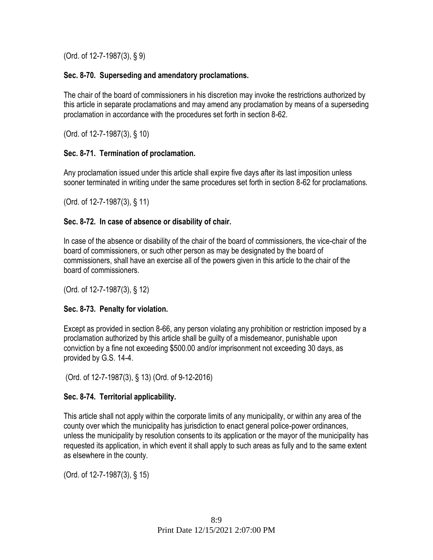(Ord. of 12-7-1987(3), § 9)

### **Sec. 8-70. Superseding and amendatory proclamations.**

The chair of the board of commissioners in his discretion may invoke the restrictions authorized by this article in separate proclamations and may amend any proclamation by means of a superseding proclamation in accordance with the procedures set forth in section 8-62.

(Ord. of 12-7-1987(3), § 10)

### **Sec. 8-71. Termination of proclamation.**

Any proclamation issued under this article shall expire five days after its last imposition unless sooner terminated in writing under the same procedures set forth in section 8-62 for proclamations.

(Ord. of 12-7-1987(3), § 11)

### **Sec. 8-72. In case of absence or disability of chair.**

In case of the absence or disability of the chair of the board of commissioners, the vice-chair of the board of commissioners, or such other person as may be designated by the board of commissioners, shall have an exercise all of the powers given in this article to the chair of the board of commissioners.

(Ord. of 12-7-1987(3), § 12)

## **Sec. 8-73. Penalty for violation.**

Except as provided in section 8-66, any person violating any prohibition or restriction imposed by a proclamation authorized by this article shall be guilty of a misdemeanor, punishable upon conviction by a fine not exceeding \$500.00 and/or imprisonment not exceeding 30 days, as provided by G.S. 14-4.

(Ord. of 12-7-1987(3), § 13) (Ord. of 9-12-2016)

## **Sec. 8-74. Territorial applicability.**

This article shall not apply within the corporate limits of any municipality, or within any area of the county over which the municipality has jurisdiction to enact general police-power ordinances, unless the municipality by resolution consents to its application or the mayor of the municipality has requested its application, in which event it shall apply to such areas as fully and to the same extent as elsewhere in the county.

(Ord. of 12-7-1987(3), § 15)